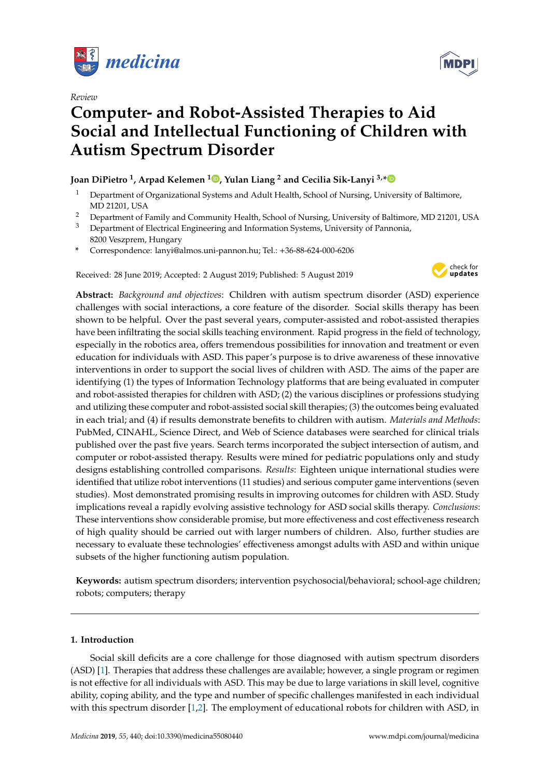

*Review*

# **Computer- and Robot-Assisted Therapies to Aid Social and Intellectual Functioning of Children with Autism Spectrum Disorder**

# **Joan DiPietro <sup>1</sup> , Arpad Kelemen <sup>1</sup> [,](https://orcid.org/0000-0001-7181-4413) Yulan Liang <sup>2</sup> and Cecilia Sik-Lanyi 3,[\\*](https://orcid.org/0000-0003-3142-6824)**

- <sup>1</sup> Department of Organizational Systems and Adult Health, School of Nursing, University of Baltimore, MD 21201, USA
- <sup>2</sup> Department of Family and Community Health, School of Nursing, University of Baltimore, MD 21201, USA<br><sup>3</sup> Department of Electrical Engineering and Information Systems, University of Pannonia
- <sup>3</sup> Department of Electrical Engineering and Information Systems, University of Pannonia, 8200 Veszprem, Hungary
- **\*** Correspondence: lanyi@almos.uni-pannon.hu; Tel.: +36-88-624-000-6206

Received: 28 June 2019; Accepted: 2 August 2019; Published: 5 August 2019



**Abstract:** *Background and objectives*: Children with autism spectrum disorder (ASD) experience challenges with social interactions, a core feature of the disorder. Social skills therapy has been shown to be helpful. Over the past several years, computer-assisted and robot-assisted therapies have been infiltrating the social skills teaching environment. Rapid progress in the field of technology, especially in the robotics area, offers tremendous possibilities for innovation and treatment or even education for individuals with ASD. This paper's purpose is to drive awareness of these innovative interventions in order to support the social lives of children with ASD. The aims of the paper are identifying (1) the types of Information Technology platforms that are being evaluated in computer and robot-assisted therapies for children with ASD; (2) the various disciplines or professions studying and utilizing these computer and robot-assisted social skill therapies; (3) the outcomes being evaluated in each trial; and (4) if results demonstrate benefits to children with autism. *Materials and Methods*: PubMed, CINAHL, Science Direct, and Web of Science databases were searched for clinical trials published over the past five years. Search terms incorporated the subject intersection of autism, and computer or robot-assisted therapy. Results were mined for pediatric populations only and study designs establishing controlled comparisons. *Results*: Eighteen unique international studies were identified that utilize robot interventions (11 studies) and serious computer game interventions (seven studies). Most demonstrated promising results in improving outcomes for children with ASD. Study implications reveal a rapidly evolving assistive technology for ASD social skills therapy. *Conclusions*: These interventions show considerable promise, but more effectiveness and cost effectiveness research of high quality should be carried out with larger numbers of children. Also, further studies are necessary to evaluate these technologies' effectiveness amongst adults with ASD and within unique subsets of the higher functioning autism population.

**Keywords:** autism spectrum disorders; intervention psychosocial/behavioral; school-age children; robots; computers; therapy

# **1. Introduction**

Social skill deficits are a core challenge for those diagnosed with autism spectrum disorders (ASD) [\[1\]](#page-15-0). Therapies that address these challenges are available; however, a single program or regimen is not effective for all individuals with ASD. This may be due to large variations in skill level, cognitive ability, coping ability, and the type and number of specific challenges manifested in each individual with this spectrum disorder [\[1](#page-15-0)[,2\]](#page-15-1). The employment of educational robots for children with ASD, in

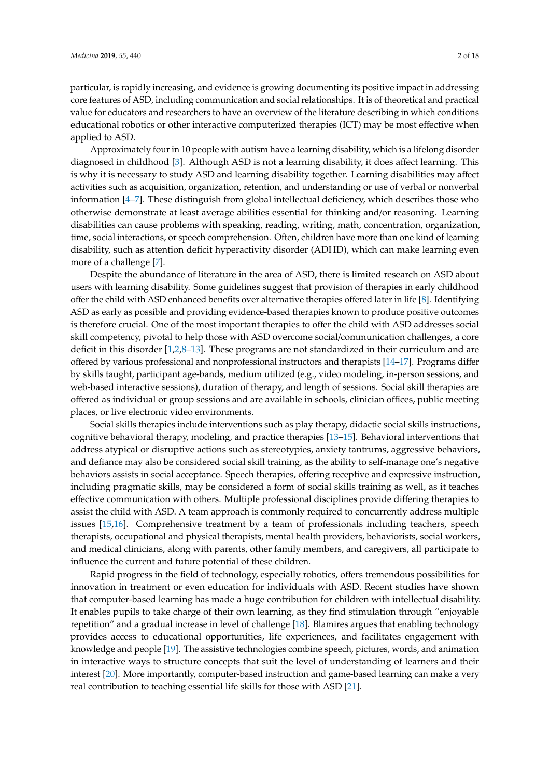particular, is rapidly increasing, and evidence is growing documenting its positive impact in addressing core features of ASD, including communication and social relationships. It is of theoretical and practical value for educators and researchers to have an overview of the literature describing in which conditions educational robotics or other interactive computerized therapies (ICT) may be most effective when applied to ASD.

Approximately four in 10 people with autism have a learning disability, which is a lifelong disorder diagnosed in childhood [\[3\]](#page-15-2). Although ASD is not a learning disability, it does affect learning. This is why it is necessary to study ASD and learning disability together. Learning disabilities may affect activities such as acquisition, organization, retention, and understanding or use of verbal or nonverbal information [\[4–](#page-15-3)[7\]](#page-15-4). These distinguish from global intellectual deficiency, which describes those who otherwise demonstrate at least average abilities essential for thinking and/or reasoning. Learning disabilities can cause problems with speaking, reading, writing, math, concentration, organization, time, social interactions, or speech comprehension. Often, children have more than one kind of learning disability, such as attention deficit hyperactivity disorder (ADHD), which can make learning even more of a challenge [\[7\]](#page-15-4).

Despite the abundance of literature in the area of ASD, there is limited research on ASD about users with learning disability. Some guidelines suggest that provision of therapies in early childhood offer the child with ASD enhanced benefits over alternative therapies offered later in life [\[8\]](#page-15-5). Identifying ASD as early as possible and providing evidence-based therapies known to produce positive outcomes is therefore crucial. One of the most important therapies to offer the child with ASD addresses social skill competency, pivotal to help those with ASD overcome social/communication challenges, a core deficit in this disorder [\[1,](#page-15-0)[2,](#page-15-1)[8–](#page-15-5)[13\]](#page-15-6). These programs are not standardized in their curriculum and are offered by various professional and nonprofessional instructors and therapists [\[14](#page-15-7)[–17\]](#page-15-8). Programs differ by skills taught, participant age-bands, medium utilized (e.g., video modeling, in-person sessions, and web-based interactive sessions), duration of therapy, and length of sessions. Social skill therapies are offered as individual or group sessions and are available in schools, clinician offices, public meeting places, or live electronic video environments.

Social skills therapies include interventions such as play therapy, didactic social skills instructions, cognitive behavioral therapy, modeling, and practice therapies [\[13–](#page-15-6)[15\]](#page-15-9). Behavioral interventions that address atypical or disruptive actions such as stereotypies, anxiety tantrums, aggressive behaviors, and defiance may also be considered social skill training, as the ability to self-manage one's negative behaviors assists in social acceptance. Speech therapies, offering receptive and expressive instruction, including pragmatic skills, may be considered a form of social skills training as well, as it teaches effective communication with others. Multiple professional disciplines provide differing therapies to assist the child with ASD. A team approach is commonly required to concurrently address multiple issues [\[15](#page-15-9)[,16\]](#page-15-10). Comprehensive treatment by a team of professionals including teachers, speech therapists, occupational and physical therapists, mental health providers, behaviorists, social workers, and medical clinicians, along with parents, other family members, and caregivers, all participate to influence the current and future potential of these children.

Rapid progress in the field of technology, especially robotics, offers tremendous possibilities for innovation in treatment or even education for individuals with ASD. Recent studies have shown that computer-based learning has made a huge contribution for children with intellectual disability. It enables pupils to take charge of their own learning, as they find stimulation through "enjoyable repetition" and a gradual increase in level of challenge [\[18\]](#page-15-11). Blamires argues that enabling technology provides access to educational opportunities, life experiences, and facilitates engagement with knowledge and people [\[19\]](#page-15-12). The assistive technologies combine speech, pictures, words, and animation in interactive ways to structure concepts that suit the level of understanding of learners and their interest [\[20\]](#page-15-13). More importantly, computer-based instruction and game-based learning can make a very real contribution to teaching essential life skills for those with ASD [\[21\]](#page-15-14).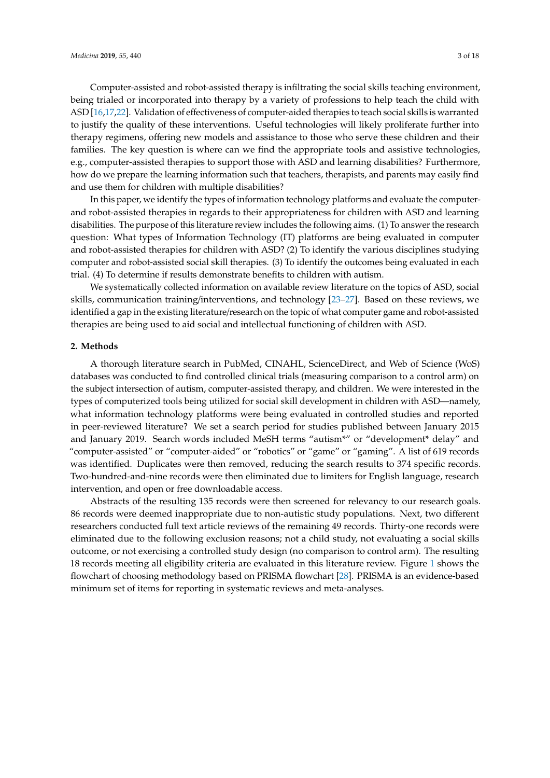Computer-assisted and robot-assisted therapy is infiltrating the social skills teaching environment, being trialed or incorporated into therapy by a variety of professions to help teach the child with ASD [\[16](#page-15-10)[,17,](#page-15-8)[22\]](#page-16-0). Validation of effectiveness of computer-aided therapies to teach social skills is warranted to justify the quality of these interventions. Useful technologies will likely proliferate further into therapy regimens, offering new models and assistance to those who serve these children and their families. The key question is where can we find the appropriate tools and assistive technologies, e.g., computer-assisted therapies to support those with ASD and learning disabilities? Furthermore, how do we prepare the learning information such that teachers, therapists, and parents may easily find and use them for children with multiple disabilities?

In this paper, we identify the types of information technology platforms and evaluate the computerand robot-assisted therapies in regards to their appropriateness for children with ASD and learning disabilities. The purpose of this literature review includes the following aims. (1) To answer the research question: What types of Information Technology (IT) platforms are being evaluated in computer and robot-assisted therapies for children with ASD? (2) To identify the various disciplines studying computer and robot-assisted social skill therapies. (3) To identify the outcomes being evaluated in each trial. (4) To determine if results demonstrate benefits to children with autism.

We systematically collected information on available review literature on the topics of ASD, social skills, communication training/interventions, and technology [\[23–](#page-16-1)[27\]](#page-16-2). Based on these reviews, we identified a gap in the existing literature/research on the topic of what computer game and robot-assisted therapies are being used to aid social and intellectual functioning of children with ASD.

## **2. Methods**

A thorough literature search in PubMed, CINAHL, ScienceDirect, and Web of Science (WoS) databases was conducted to find controlled clinical trials (measuring comparison to a control arm) on the subject intersection of autism, computer-assisted therapy, and children. We were interested in the types of computerized tools being utilized for social skill development in children with ASD—namely, what information technology platforms were being evaluated in controlled studies and reported in peer-reviewed literature? We set a search period for studies published between January 2015 and January 2019. Search words included MeSH terms "autism\*" or "development\* delay" and "computer-assisted" or "computer-aided" or "robotics" or "game" or "gaming". A list of 619 records was identified. Duplicates were then removed, reducing the search results to 374 specific records. Two-hundred-and-nine records were then eliminated due to limiters for English language, research intervention, and open or free downloadable access.

Abstracts of the resulting 135 records were then screened for relevancy to our research goals. 86 records were deemed inappropriate due to non-autistic study populations. Next, two different researchers conducted full text article reviews of the remaining 49 records. Thirty-one records were eliminated due to the following exclusion reasons; not a child study, not evaluating a social skills outcome, or not exercising a controlled study design (no comparison to control arm). The resulting 18 records meeting all eligibility criteria are evaluated in this literature review. Figure [1](#page-3-0) shows the flowchart of choosing methodology based on PRISMA flowchart [\[28\]](#page-16-3). PRISMA is an evidence-based minimum set of items for reporting in systematic reviews and meta-analyses.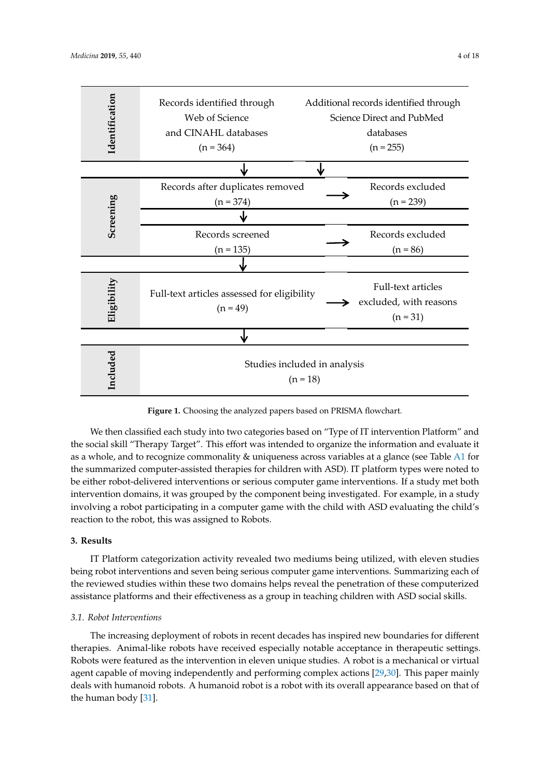<span id="page-3-0"></span>

**Figure 1.** Choosing the analyzed papers based on PRISMA flowchart. **Figure 1.** Choosing the analyzed papers based on PRISMA flowchart.

We then classified each study into two categories based on "Type of IT intervention Platform" and the social skill "Therapy Target". This effort was intended to organize the information and evaluate it as a whole, and to recognize commonality & uniqueness across variables at a glance (see Table A1 for the summarized computer-assisted therapies for children with ASD). IT platform types were noted to be either robot-delivered interventions or serious computer game interventions. If a study met both involving a robot participating in a computer game with the child with ASD evaluating the child's reaction to the robot, this was assigned to Robots. intervention domains, it was grouped by the component being investigated. For example, in a study

#### $\mathbf{r}$  $R_{\text{SUSU}}$ **3. Results**

IT Platform categorization activity revealed two mediums being utilized, with eleven studies being robot interventions and seven being serious computer game interventions. Summarizing each of the reviewed studies within these two domains helps reveal the penetration of these computerized assistance platforms and their effectiveness as a group in teaching children with ASD social skills. semiautonomous parrot-inspired robot (KiliRo). Robot-supported therapy using adapted model–

# rival method was experimentally tested with nine children with ASD for five consecutive days in a *3.1. Robot Interventions*

clinical setting. Facial expressions of the children were analyzed when they contacted KiliRo using The increasing deployment of robots in recent decades has inspired new boundaries for different therapies. Animal-like robots have received especially notable acceptance in therapeutic settings. Robots were featured as the intervention in eleven unique studies. A robot is a mechanical or virtual agent capable of moving independently and performing complex actions [\[29,](#page-16-4)[30\]](#page-16-5). This paper mainly deals with humanoid robots. A humanoid robot is a robot with its overall appearance based on that of the human body  $[31]$ .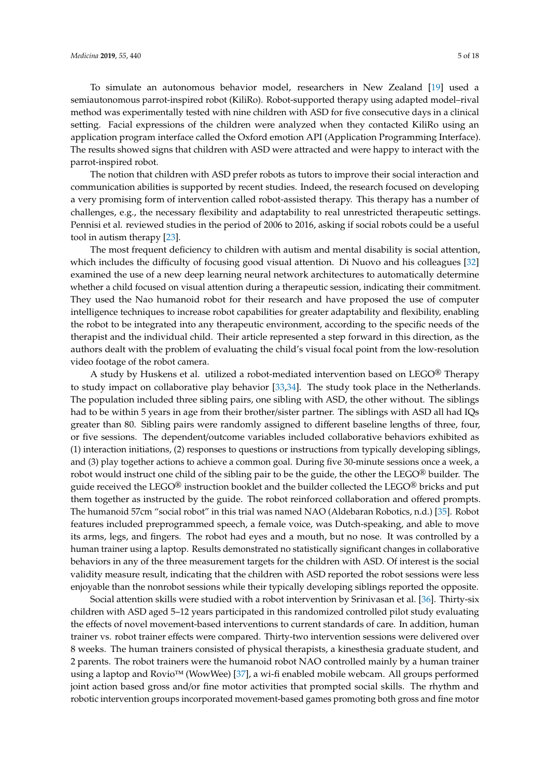To simulate an autonomous behavior model, researchers in New Zealand [\[19\]](#page-15-12) used a semiautonomous parrot-inspired robot (KiliRo). Robot-supported therapy using adapted model–rival method was experimentally tested with nine children with ASD for five consecutive days in a clinical setting. Facial expressions of the children were analyzed when they contacted KiliRo using an application program interface called the Oxford emotion API (Application Programming Interface). The results showed signs that children with ASD were attracted and were happy to interact with the parrot-inspired robot.

The notion that children with ASD prefer robots as tutors to improve their social interaction and communication abilities is supported by recent studies. Indeed, the research focused on developing a very promising form of intervention called robot-assisted therapy. This therapy has a number of challenges, e.g., the necessary flexibility and adaptability to real unrestricted therapeutic settings. Pennisi et al. reviewed studies in the period of 2006 to 2016, asking if social robots could be a useful tool in autism therapy [\[23\]](#page-16-1).

The most frequent deficiency to children with autism and mental disability is social attention, which includes the difficulty of focusing good visual attention. Di Nuovo and his colleagues [\[32\]](#page-16-7) examined the use of a new deep learning neural network architectures to automatically determine whether a child focused on visual attention during a therapeutic session, indicating their commitment. They used the Nao humanoid robot for their research and have proposed the use of computer intelligence techniques to increase robot capabilities for greater adaptability and flexibility, enabling the robot to be integrated into any therapeutic environment, according to the specific needs of the therapist and the individual child. Their article represented a step forward in this direction, as the authors dealt with the problem of evaluating the child's visual focal point from the low-resolution video footage of the robot camera.

A study by Huskens et al. utilized a robot-mediated intervention based on LEGO® Therapy to study impact on collaborative play behavior [\[33,](#page-16-8)[34\]](#page-16-9). The study took place in the Netherlands. The population included three sibling pairs, one sibling with ASD, the other without. The siblings had to be within 5 years in age from their brother/sister partner. The siblings with ASD all had IQs greater than 80. Sibling pairs were randomly assigned to different baseline lengths of three, four, or five sessions. The dependent/outcome variables included collaborative behaviors exhibited as (1) interaction initiations, (2) responses to questions or instructions from typically developing siblings, and (3) play together actions to achieve a common goal. During five 30-minute sessions once a week, a robot would instruct one child of the sibling pair to be the guide, the other the LEGO<sup>®</sup> builder. The guide received the LEGO® instruction booklet and the builder collected the LEGO® bricks and put them together as instructed by the guide. The robot reinforced collaboration and offered prompts. The humanoid 57cm "social robot" in this trial was named NAO (Aldebaran Robotics, n.d.) [\[35\]](#page-16-10). Robot features included preprogrammed speech, a female voice, was Dutch-speaking, and able to move its arms, legs, and fingers. The robot had eyes and a mouth, but no nose. It was controlled by a human trainer using a laptop. Results demonstrated no statistically significant changes in collaborative behaviors in any of the three measurement targets for the children with ASD. Of interest is the social validity measure result, indicating that the children with ASD reported the robot sessions were less enjoyable than the nonrobot sessions while their typically developing siblings reported the opposite.

Social attention skills were studied with a robot intervention by Srinivasan et al. [\[36\]](#page-16-11). Thirty-six children with ASD aged 5–12 years participated in this randomized controlled pilot study evaluating the effects of novel movement-based interventions to current standards of care. In addition, human trainer vs. robot trainer effects were compared. Thirty-two intervention sessions were delivered over 8 weeks. The human trainers consisted of physical therapists, a kinesthesia graduate student, and 2 parents. The robot trainers were the humanoid robot NAO controlled mainly by a human trainer using a laptop and Rovio™ (WowWee) [\[37\]](#page-16-12), a wi-fi enabled mobile webcam. All groups performed joint action based gross and/or fine motor activities that prompted social skills. The rhythm and robotic intervention groups incorporated movement-based games promoting both gross and fine motor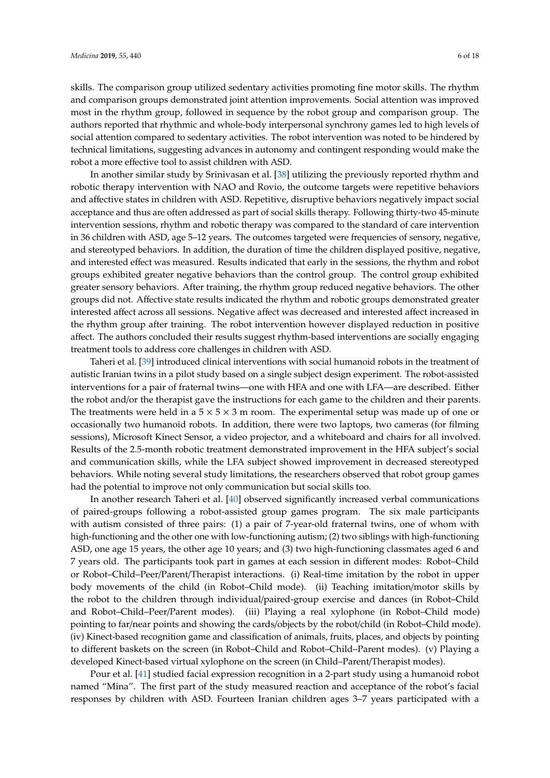skills. The comparison group utilized sedentary activities promoting fine motor skills. The rhythm and comparison groups demonstrated joint attention improvements. Social attention was improved most in the rhythm group, followed in sequence by the robot group and comparison group. The authors reported that rhythmic and whole-body interpersonal synchrony games led to high levels of social attention compared to sedentary activities. The robot intervention was noted to be hindered by technical limitations, suggesting advances in autonomy and contingent responding would make the robot a more effective tool to assist children with ASD.

In another similar study by Srinivasan et al. [\[38\]](#page-16-13) utilizing the previously reported rhythm and robotic therapy intervention with NAO and Rovio, the outcome targets were repetitive behaviors and affective states in children with ASD. Repetitive, disruptive behaviors negatively impact social acceptance and thus are often addressed as part of social skills therapy. Following thirty-two 45-minute intervention sessions, rhythm and robotic therapy was compared to the standard of care intervention in 36 children with ASD, age 5–12 years. The outcomes targeted were frequencies of sensory, negative, and stereotyped behaviors. In addition, the duration of time the children displayed positive, negative, and interested effect was measured. Results indicated that early in the sessions, the rhythm and robot groups exhibited greater negative behaviors than the control group. The control group exhibited greater sensory behaviors. After training, the rhythm group reduced negative behaviors. The other groups did not. Affective state results indicated the rhythm and robotic groups demonstrated greater interested affect across all sessions. Negative affect was decreased and interested affect increased in the rhythm group after training. The robot intervention however displayed reduction in positive affect. The authors concluded their results suggest rhythm-based interventions are socially engaging treatment tools to address core challenges in children with ASD.

Taheri et al. [\[39\]](#page-16-14) introduced clinical interventions with social humanoid robots in the treatment of autistic Iranian twins in a pilot study based on a single subject design experiment. The robot-assisted interventions for a pair of fraternal twins—one with HFA and one with LFA—are described. Either the robot and/or the therapist gave the instructions for each game to the children and their parents. The treatments were held in a  $5 \times 5 \times 3$  m room. The experimental setup was made up of one or occasionally two humanoid robots. In addition, there were two laptops, two cameras (for filming sessions), Microsoft Kinect Sensor, a video projector, and a whiteboard and chairs for all involved. Results of the 2.5-month robotic treatment demonstrated improvement in the HFA subject's social and communication skills, while the LFA subject showed improvement in decreased stereotyped behaviors. While noting several study limitations, the researchers observed that robot group games had the potential to improve not only communication but social skills too.

In another research Taheri et al. [\[40\]](#page-16-15) observed significantly increased verbal communications of paired-groups following a robot-assisted group games program. The six male participants with autism consisted of three pairs: (1) a pair of 7-year-old fraternal twins, one of whom with high-functioning and the other one with low-functioning autism; (2) two siblings with high-functioning ASD, one age 15 years, the other age 10 years; and (3) two high-functioning classmates aged 6 and 7 years old. The participants took part in games at each session in different modes: Robot–Child or Robot–Child–Peer/Parent/Therapist interactions. (i) Real-time imitation by the robot in upper body movements of the child (in Robot–Child mode). (ii) Teaching imitation/motor skills by the robot to the children through individual/paired-group exercise and dances (in Robot–Child and Robot–Child–Peer/Parent modes). (iii) Playing a real xylophone (in Robot–Child mode) pointing to far/near points and showing the cards/objects by the robot/child (in Robot–Child mode). (iv) Kinect-based recognition game and classification of animals, fruits, places, and objects by pointing to different baskets on the screen (in Robot–Child and Robot–Child–Parent modes). (v) Playing a developed Kinect-based virtual xylophone on the screen (in Child–Parent/Therapist modes).

Pour et al. [\[41\]](#page-16-16) studied facial expression recognition in a 2-part study using a humanoid robot named "Mina". The first part of the study measured reaction and acceptance of the robot's facial responses by children with ASD. Fourteen Iranian children ages 3–7 years participated with a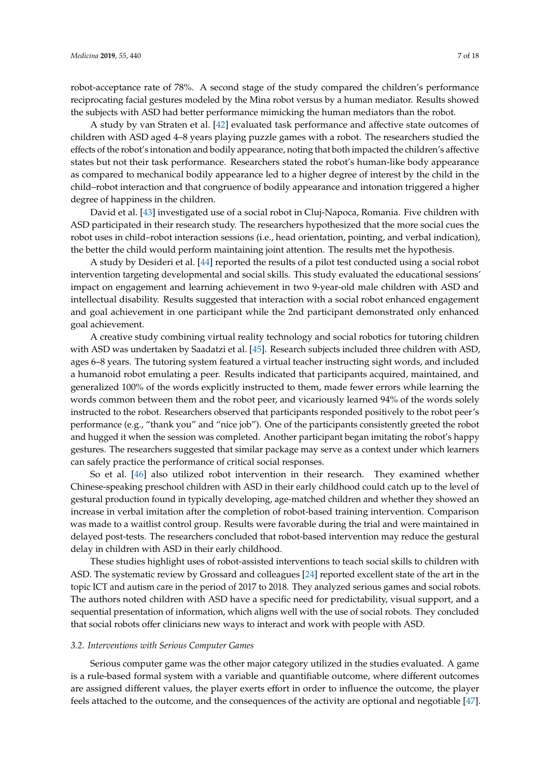the subjects with ASD had better performance mimicking the human mediators than the robot. A study by van Straten et al. [\[42\]](#page-16-17) evaluated task performance and affective state outcomes of children with ASD aged 4–8 years playing puzzle games with a robot. The researchers studied the effects of the robot's intonation and bodily appearance, noting that both impacted the children's affective states but not their task performance. Researchers stated the robot's human-like body appearance as compared to mechanical bodily appearance led to a higher degree of interest by the child in the child–robot interaction and that congruence of bodily appearance and intonation triggered a higher degree of happiness in the children.

David et al. [\[43\]](#page-17-0) investigated use of a social robot in Cluj-Napoca, Romania. Five children with ASD participated in their research study. The researchers hypothesized that the more social cues the robot uses in child–robot interaction sessions (i.e., head orientation, pointing, and verbal indication), the better the child would perform maintaining joint attention. The results met the hypothesis.

A study by Desideri et al. [\[44\]](#page-17-1) reported the results of a pilot test conducted using a social robot intervention targeting developmental and social skills. This study evaluated the educational sessions' impact on engagement and learning achievement in two 9-year-old male children with ASD and intellectual disability. Results suggested that interaction with a social robot enhanced engagement and goal achievement in one participant while the 2nd participant demonstrated only enhanced goal achievement.

A creative study combining virtual reality technology and social robotics for tutoring children with ASD was undertaken by Saadatzi et al. [\[45\]](#page-17-2). Research subjects included three children with ASD, ages 6–8 years. The tutoring system featured a virtual teacher instructing sight words, and included a humanoid robot emulating a peer. Results indicated that participants acquired, maintained, and generalized 100% of the words explicitly instructed to them, made fewer errors while learning the words common between them and the robot peer, and vicariously learned 94% of the words solely instructed to the robot. Researchers observed that participants responded positively to the robot peer's performance (e.g., "thank you" and "nice job"). One of the participants consistently greeted the robot and hugged it when the session was completed. Another participant began imitating the robot's happy gestures. The researchers suggested that similar package may serve as a context under which learners can safely practice the performance of critical social responses.

So et al. [\[46\]](#page-17-3) also utilized robot intervention in their research. They examined whether Chinese-speaking preschool children with ASD in their early childhood could catch up to the level of gestural production found in typically developing, age-matched children and whether they showed an increase in verbal imitation after the completion of robot-based training intervention. Comparison was made to a waitlist control group. Results were favorable during the trial and were maintained in delayed post-tests. The researchers concluded that robot-based intervention may reduce the gestural delay in children with ASD in their early childhood.

These studies highlight uses of robot-assisted interventions to teach social skills to children with ASD. The systematic review by Grossard and colleagues [\[24\]](#page-16-18) reported excellent state of the art in the topic ICT and autism care in the period of 2017 to 2018. They analyzed serious games and social robots. The authors noted children with ASD have a specific need for predictability, visual support, and a sequential presentation of information, which aligns well with the use of social robots. They concluded that social robots offer clinicians new ways to interact and work with people with ASD.

### *3.2. Interventions with Serious Computer Games*

Serious computer game was the other major category utilized in the studies evaluated. A game is a rule-based formal system with a variable and quantifiable outcome, where different outcomes are assigned different values, the player exerts effort in order to influence the outcome, the player feels attached to the outcome, and the consequences of the activity are optional and negotiable [\[47\]](#page-17-4).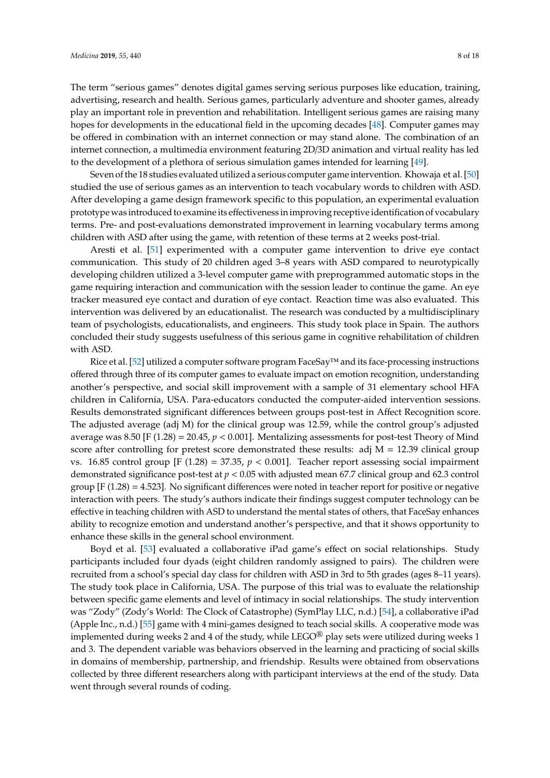The term "serious games" denotes digital games serving serious purposes like education, training, advertising, research and health. Serious games, particularly adventure and shooter games, already play an important role in prevention and rehabilitation. Intelligent serious games are raising many hopes for developments in the educational field in the upcoming decades [\[48\]](#page-17-5). Computer games may be offered in combination with an internet connection or may stand alone. The combination of an internet connection, a multimedia environment featuring 2D/3D animation and virtual reality has led

Seven of the 18 studies evaluated utilized a serious computer game intervention. Khowaja et al.[\[50\]](#page-17-7) studied the use of serious games as an intervention to teach vocabulary words to children with ASD. After developing a game design framework specific to this population, an experimental evaluation prototype was introduced to examine its effectiveness in improving receptive identification of vocabulary terms. Pre- and post-evaluations demonstrated improvement in learning vocabulary terms among children with ASD after using the game, with retention of these terms at 2 weeks post-trial.

to the development of a plethora of serious simulation games intended for learning [\[49\]](#page-17-6).

Aresti et al. [\[51\]](#page-17-8) experimented with a computer game intervention to drive eye contact communication. This study of 20 children aged 3–8 years with ASD compared to neurotypically developing children utilized a 3-level computer game with preprogrammed automatic stops in the game requiring interaction and communication with the session leader to continue the game. An eye tracker measured eye contact and duration of eye contact. Reaction time was also evaluated. This intervention was delivered by an educationalist. The research was conducted by a multidisciplinary team of psychologists, educationalists, and engineers. This study took place in Spain. The authors concluded their study suggests usefulness of this serious game in cognitive rehabilitation of children with ASD.

Rice et al. [\[52\]](#page-17-9) utilized a computer software program FaceSay™ and its face-processing instructions offered through three of its computer games to evaluate impact on emotion recognition, understanding another's perspective, and social skill improvement with a sample of 31 elementary school HFA children in California, USA. Para-educators conducted the computer-aided intervention sessions. Results demonstrated significant differences between groups post-test in Affect Recognition score. The adjusted average (adj M) for the clinical group was 12.59, while the control group's adjusted average was 8.50 [F  $(1.28) = 20.45$ ,  $p < 0.001$ ]. Mentalizing assessments for post-test Theory of Mind score after controlling for pretest score demonstrated these results: adj  $M = 12.39$  clinical group vs. 16.85 control group [F (1.28) = 37.35,  $p < 0.001$ ]. Teacher report assessing social impairment demonstrated significance post-test at *p* < 0.05 with adjusted mean 67.7 clinical group and 62.3 control group  $[F(1.28) = 4.523]$ . No significant differences were noted in teacher report for positive or negative interaction with peers. The study's authors indicate their findings suggest computer technology can be effective in teaching children with ASD to understand the mental states of others, that FaceSay enhances ability to recognize emotion and understand another's perspective, and that it shows opportunity to enhance these skills in the general school environment.

Boyd et al. [\[53\]](#page-17-10) evaluated a collaborative iPad game's effect on social relationships. Study participants included four dyads (eight children randomly assigned to pairs). The children were recruited from a school's special day class for children with ASD in 3rd to 5th grades (ages 8–11 years). The study took place in California, USA. The purpose of this trial was to evaluate the relationship between specific game elements and level of intimacy in social relationships. The study intervention was "Zody" (Zody's World: The Clock of Catastrophe) (SymPlay LLC, n.d.) [\[54\]](#page-17-11), a collaborative iPad (Apple Inc., n.d.) [\[55\]](#page-17-12) game with 4 mini-games designed to teach social skills. A cooperative mode was implemented during weeks 2 and 4 of the study, while LEGO® play sets were utilized during weeks 1 and 3. The dependent variable was behaviors observed in the learning and practicing of social skills in domains of membership, partnership, and friendship. Results were obtained from observations collected by three different researchers along with participant interviews at the end of the study. Data went through several rounds of coding.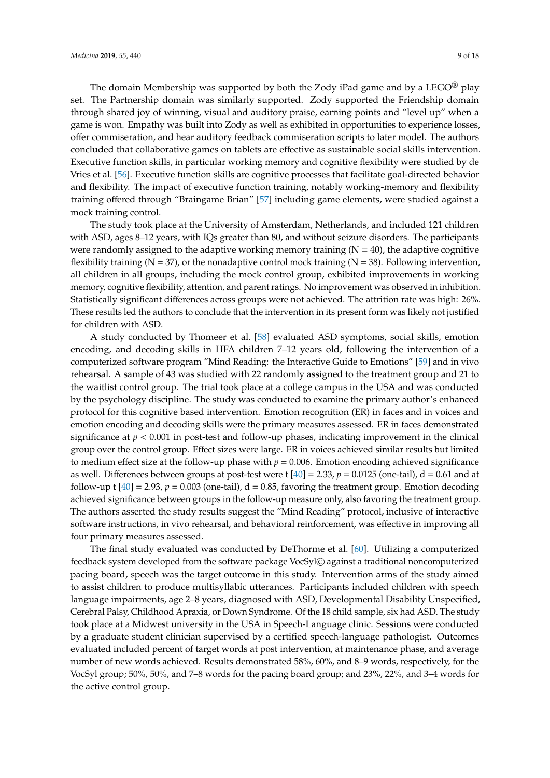The domain Membership was supported by both the Zody iPad game and by a LEGO<sup>®</sup> play set. The Partnership domain was similarly supported. Zody supported the Friendship domain through shared joy of winning, visual and auditory praise, earning points and "level up" when a game is won. Empathy was built into Zody as well as exhibited in opportunities to experience losses, offer commiseration, and hear auditory feedback commiseration scripts to later model. The authors concluded that collaborative games on tablets are effective as sustainable social skills intervention. Executive function skills, in particular working memory and cognitive flexibility were studied by de Vries et al. [\[56\]](#page-17-13). Executive function skills are cognitive processes that facilitate goal-directed behavior and flexibility. The impact of executive function training, notably working-memory and flexibility training offered through "Braingame Brian" [\[57\]](#page-17-14) including game elements, were studied against a mock training control.

The study took place at the University of Amsterdam, Netherlands, and included 121 children with ASD, ages 8–12 years, with IQs greater than 80, and without seizure disorders. The participants were randomly assigned to the adaptive working memory training  $(N = 40)$ , the adaptive cognitive flexibility training ( $N = 37$ ), or the nonadaptive control mock training ( $N = 38$ ). Following intervention, all children in all groups, including the mock control group, exhibited improvements in working memory, cognitive flexibility, attention, and parent ratings. No improvement was observed in inhibition. Statistically significant differences across groups were not achieved. The attrition rate was high: 26%. These results led the authors to conclude that the intervention in its present form was likely not justified for children with ASD.

A study conducted by Thomeer et al. [\[58\]](#page-17-15) evaluated ASD symptoms, social skills, emotion encoding, and decoding skills in HFA children 7–12 years old, following the intervention of a computerized software program "Mind Reading: the Interactive Guide to Emotions" [\[59\]](#page-17-16) and in vivo rehearsal. A sample of 43 was studied with 22 randomly assigned to the treatment group and 21 to the waitlist control group. The trial took place at a college campus in the USA and was conducted by the psychology discipline. The study was conducted to examine the primary author's enhanced protocol for this cognitive based intervention. Emotion recognition (ER) in faces and in voices and emotion encoding and decoding skills were the primary measures assessed. ER in faces demonstrated significance at  $p < 0.001$  in post-test and follow-up phases, indicating improvement in the clinical group over the control group. Effect sizes were large. ER in voices achieved similar results but limited to medium effect size at the follow-up phase with  $p = 0.006$ . Emotion encoding achieved significance as well. Differences between groups at post-test were t  $[40] = 2.33$  $[40] = 2.33$ ,  $p = 0.0125$  (one-tail),  $d = 0.61$  and at follow-up t  $[40] = 2.93$  $[40] = 2.93$ ,  $p = 0.003$  (one-tail),  $d = 0.85$ , favoring the treatment group. Emotion decoding achieved significance between groups in the follow-up measure only, also favoring the treatment group. The authors asserted the study results suggest the "Mind Reading" protocol, inclusive of interactive software instructions, in vivo rehearsal, and behavioral reinforcement, was effective in improving all four primary measures assessed.

The final study evaluated was conducted by DeThorme et al. [\[60\]](#page-17-17). Utilizing a computerized feedback system developed from the software package VocSyl© against a traditional noncomputerized pacing board, speech was the target outcome in this study. Intervention arms of the study aimed to assist children to produce multisyllabic utterances. Participants included children with speech language impairments, age 2–8 years, diagnosed with ASD, Developmental Disability Unspecified, Cerebral Palsy, Childhood Apraxia, or Down Syndrome. Of the 18 child sample, six had ASD. The study took place at a Midwest university in the USA in Speech-Language clinic. Sessions were conducted by a graduate student clinician supervised by a certified speech-language pathologist. Outcomes evaluated included percent of target words at post intervention, at maintenance phase, and average number of new words achieved. Results demonstrated 58%, 60%, and 8–9 words, respectively, for the VocSyl group; 50%, 50%, and 7–8 words for the pacing board group; and 23%, 22%, and 3–4 words for the active control group.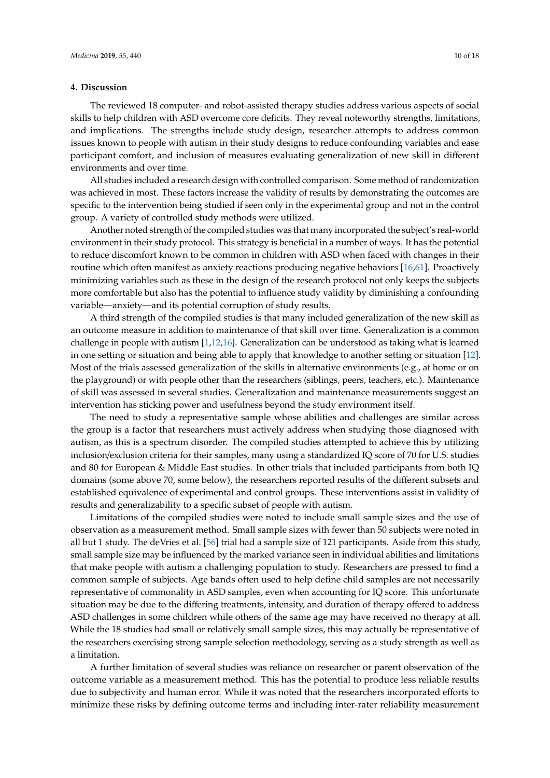# **4. Discussion**

The reviewed 18 computer- and robot-assisted therapy studies address various aspects of social skills to help children with ASD overcome core deficits. They reveal noteworthy strengths, limitations, and implications. The strengths include study design, researcher attempts to address common issues known to people with autism in their study designs to reduce confounding variables and ease participant comfort, and inclusion of measures evaluating generalization of new skill in different environments and over time.

All studies included a research design with controlled comparison. Some method of randomization was achieved in most. These factors increase the validity of results by demonstrating the outcomes are specific to the intervention being studied if seen only in the experimental group and not in the control group. A variety of controlled study methods were utilized.

Another noted strength of the compiled studies was that many incorporated the subject's real-world environment in their study protocol. This strategy is beneficial in a number of ways. It has the potential to reduce discomfort known to be common in children with ASD when faced with changes in their routine which often manifest as anxiety reactions producing negative behaviors [\[16](#page-15-10)[,61\]](#page-17-18). Proactively minimizing variables such as these in the design of the research protocol not only keeps the subjects more comfortable but also has the potential to influence study validity by diminishing a confounding variable—anxiety—and its potential corruption of study results.

A third strength of the compiled studies is that many included generalization of the new skill as an outcome measure in addition to maintenance of that skill over time. Generalization is a common challenge in people with autism [\[1](#page-15-0)[,12](#page-15-15)[,16\]](#page-15-10). Generalization can be understood as taking what is learned in one setting or situation and being able to apply that knowledge to another setting or situation [\[12\]](#page-15-15). Most of the trials assessed generalization of the skills in alternative environments (e.g., at home or on the playground) or with people other than the researchers (siblings, peers, teachers, etc.). Maintenance of skill was assessed in several studies. Generalization and maintenance measurements suggest an intervention has sticking power and usefulness beyond the study environment itself.

The need to study a representative sample whose abilities and challenges are similar across the group is a factor that researchers must actively address when studying those diagnosed with autism, as this is a spectrum disorder. The compiled studies attempted to achieve this by utilizing inclusion/exclusion criteria for their samples, many using a standardized IQ score of 70 for U.S. studies and 80 for European & Middle East studies. In other trials that included participants from both IQ domains (some above 70, some below), the researchers reported results of the different subsets and established equivalence of experimental and control groups. These interventions assist in validity of results and generalizability to a specific subset of people with autism.

Limitations of the compiled studies were noted to include small sample sizes and the use of observation as a measurement method. Small sample sizes with fewer than 50 subjects were noted in all but 1 study. The deVries et al. [\[56\]](#page-17-13) trial had a sample size of 121 participants. Aside from this study, small sample size may be influenced by the marked variance seen in individual abilities and limitations that make people with autism a challenging population to study. Researchers are pressed to find a common sample of subjects. Age bands often used to help define child samples are not necessarily representative of commonality in ASD samples, even when accounting for IQ score. This unfortunate situation may be due to the differing treatments, intensity, and duration of therapy offered to address ASD challenges in some children while others of the same age may have received no therapy at all. While the 18 studies had small or relatively small sample sizes, this may actually be representative of the researchers exercising strong sample selection methodology, serving as a study strength as well as a limitation.

A further limitation of several studies was reliance on researcher or parent observation of the outcome variable as a measurement method. This has the potential to produce less reliable results due to subjectivity and human error. While it was noted that the researchers incorporated efforts to minimize these risks by defining outcome terms and including inter-rater reliability measurement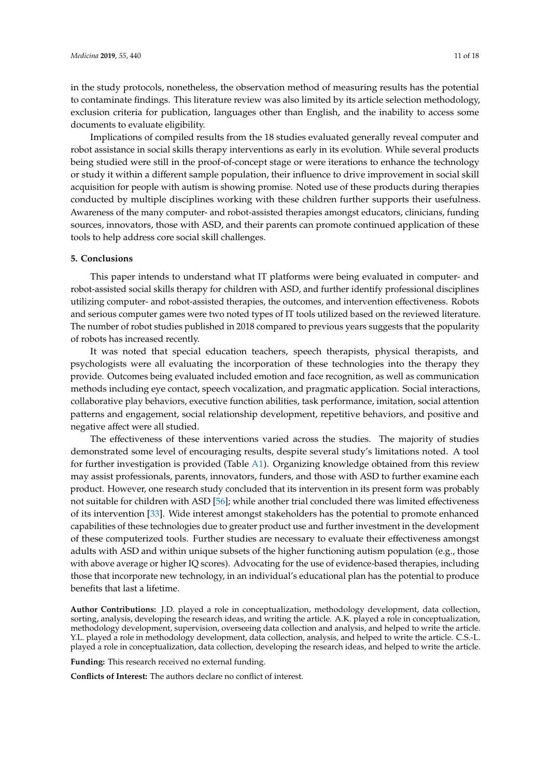in the study protocols, nonetheless, the observation method of measuring results has the potential to contaminate findings. This literature review was also limited by its article selection methodology, exclusion criteria for publication, languages other than English, and the inability to access some documents to evaluate eligibility.

Implications of compiled results from the 18 studies evaluated generally reveal computer and robot assistance in social skills therapy interventions as early in its evolution. While several products being studied were still in the proof-of-concept stage or were iterations to enhance the technology or study it within a different sample population, their influence to drive improvement in social skill acquisition for people with autism is showing promise. Noted use of these products during therapies conducted by multiple disciplines working with these children further supports their usefulness. Awareness of the many computer- and robot-assisted therapies amongst educators, clinicians, funding sources, innovators, those with ASD, and their parents can promote continued application of these tools to help address core social skill challenges.

# **5. Conclusions**

This paper intends to understand what IT platforms were being evaluated in computer- and robot-assisted social skills therapy for children with ASD, and further identify professional disciplines utilizing computer- and robot-assisted therapies, the outcomes, and intervention effectiveness. Robots and serious computer games were two noted types of IT tools utilized based on the reviewed literature. The number of robot studies published in 2018 compared to previous years suggests that the popularity of robots has increased recently.

It was noted that special education teachers, speech therapists, physical therapists, and psychologists were all evaluating the incorporation of these technologies into the therapy they provide. Outcomes being evaluated included emotion and face recognition, as well as communication methods including eye contact, speech vocalization, and pragmatic application. Social interactions, collaborative play behaviors, executive function abilities, task performance, imitation, social attention patterns and engagement, social relationship development, repetitive behaviors, and positive and negative affect were all studied.

The effectiveness of these interventions varied across the studies. The majority of studies demonstrated some level of encouraging results, despite several study's limitations noted. A tool for further investigation is provided (Table [A1\)](#page-11-0). Organizing knowledge obtained from this review may assist professionals, parents, innovators, funders, and those with ASD to further examine each product. However, one research study concluded that its intervention in its present form was probably not suitable for children with ASD [\[56\]](#page-17-13); while another trial concluded there was limited effectiveness of its intervention [\[33\]](#page-16-8). Wide interest amongst stakeholders has the potential to promote enhanced capabilities of these technologies due to greater product use and further investment in the development of these computerized tools. Further studies are necessary to evaluate their effectiveness amongst adults with ASD and within unique subsets of the higher functioning autism population (e.g., those with above average or higher IQ scores). Advocating for the use of evidence-based therapies, including those that incorporate new technology, in an individual's educational plan has the potential to produce benefits that last a lifetime.

**Author Contributions:** J.D. played a role in conceptualization, methodology development, data collection, sorting, analysis, developing the research ideas, and writing the article. A.K. played a role in conceptualization, methodology development, supervision, overseeing data collection and analysis, and helped to write the article. Y.L. played a role in methodology development, data collection, analysis, and helped to write the article. C.S.-L. played a role in conceptualization, data collection, developing the research ideas, and helped to write the article.

**Funding:** This research received no external funding.

**Conflicts of Interest:** The authors declare no conflict of interest.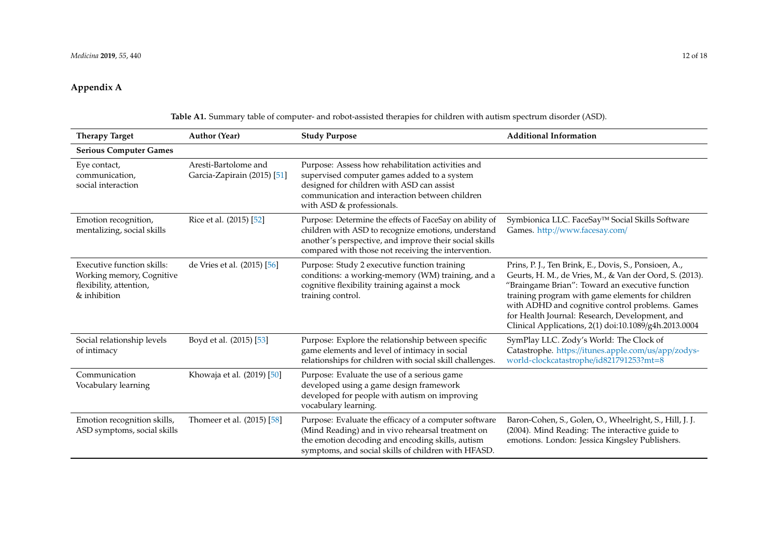# **Appendix A**

<span id="page-11-0"></span>

| <b>Therapy Target</b>                                                                                     | <b>Author (Year)</b>                                | <b>Study Purpose</b>                                                                                                                                                                                                            | <b>Additional Information</b>                                                                                                                                                                                                                                                                                                                                                         |
|-----------------------------------------------------------------------------------------------------------|-----------------------------------------------------|---------------------------------------------------------------------------------------------------------------------------------------------------------------------------------------------------------------------------------|---------------------------------------------------------------------------------------------------------------------------------------------------------------------------------------------------------------------------------------------------------------------------------------------------------------------------------------------------------------------------------------|
| <b>Serious Computer Games</b>                                                                             |                                                     |                                                                                                                                                                                                                                 |                                                                                                                                                                                                                                                                                                                                                                                       |
| Eye contact,<br>communication,<br>social interaction                                                      | Aresti-Bartolome and<br>Garcia-Zapirain (2015) [51] | Purpose: Assess how rehabilitation activities and<br>supervised computer games added to a system<br>designed for children with ASD can assist<br>communication and interaction between children<br>with ASD & professionals.    |                                                                                                                                                                                                                                                                                                                                                                                       |
| Emotion recognition,<br>mentalizing, social skills                                                        | Rice et al. (2015) [52]                             | Purpose: Determine the effects of FaceSay on ability of<br>children with ASD to recognize emotions, understand<br>another's perspective, and improve their social skills<br>compared with those not receiving the intervention. | Symbionica LLC. FaceSay™ Social Skills Software<br>Games. http://www.facesay.com/                                                                                                                                                                                                                                                                                                     |
| <b>Executive function skills:</b><br>Working memory, Cognitive<br>flexibility, attention,<br>& inhibition | de Vries et al. (2015) [56]                         | Purpose: Study 2 executive function training<br>conditions: a working-memory (WM) training, and a<br>cognitive flexibility training against a mock<br>training control.                                                         | Prins, P. J., Ten Brink, E., Dovis, S., Ponsioen, A.,<br>Geurts, H. M., de Vries, M., & Van der Oord, S. (2013).<br>"Braingame Brian": Toward an executive function<br>training program with game elements for children<br>with ADHD and cognitive control problems. Games<br>for Health Journal: Research, Development, and<br>Clinical Applications, 2(1) doi:10.1089/g4h.2013.0004 |
| Social relationship levels<br>of intimacy                                                                 | Boyd et al. (2015) [53]                             | Purpose: Explore the relationship between specific<br>game elements and level of intimacy in social<br>relationships for children with social skill challenges.                                                                 | SymPlay LLC. Zody's World: The Clock of<br>Catastrophe. https://itunes.apple.com/us/app/zodys-<br>world-clockcatastrophe/id821791253?mt=8                                                                                                                                                                                                                                             |
| Communication<br>Vocabulary learning                                                                      | Khowaja et al. (2019) [50]                          | Purpose: Evaluate the use of a serious game<br>developed using a game design framework<br>developed for people with autism on improving<br>vocabulary learning.                                                                 |                                                                                                                                                                                                                                                                                                                                                                                       |
| Emotion recognition skills,<br>ASD symptoms, social skills                                                | Thomeer et al. (2015) [58]                          | Purpose: Evaluate the efficacy of a computer software<br>(Mind Reading) and in vivo rehearsal treatment on<br>the emotion decoding and encoding skills, autism<br>symptoms, and social skills of children with HFASD.           | Baron-Cohen, S., Golen, O., Wheelright, S., Hill, J. J.<br>(2004). Mind Reading: The interactive guide to<br>emotions. London: Jessica Kingsley Publishers.                                                                                                                                                                                                                           |

**Table A1.** Summary table of computer- and robot-assisted therapies for children with autism spectrum disorder (ASD).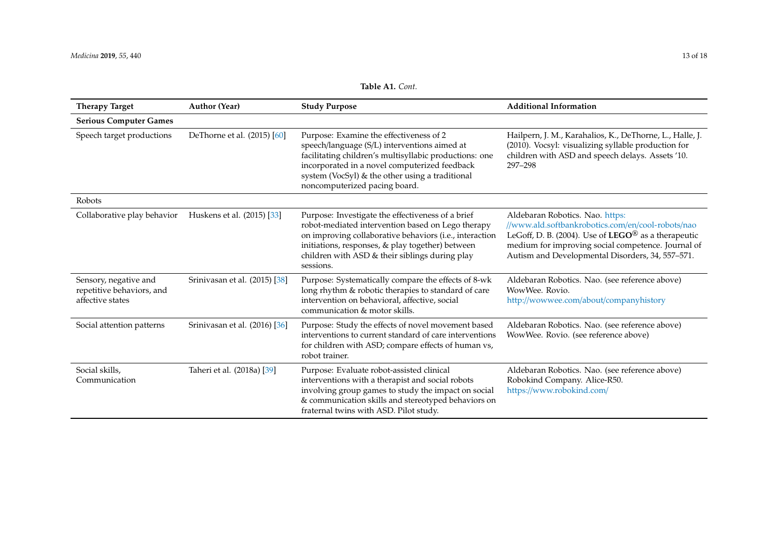| <b>Therapy Target</b>                                                  | <b>Author (Year)</b>          | <b>Study Purpose</b>                                                                                                                                                                                                                                                                   | <b>Additional Information</b>                                                                                                                                                                                                                                      |
|------------------------------------------------------------------------|-------------------------------|----------------------------------------------------------------------------------------------------------------------------------------------------------------------------------------------------------------------------------------------------------------------------------------|--------------------------------------------------------------------------------------------------------------------------------------------------------------------------------------------------------------------------------------------------------------------|
| <b>Serious Computer Games</b>                                          |                               |                                                                                                                                                                                                                                                                                        |                                                                                                                                                                                                                                                                    |
| Speech target productions                                              | DeThorne et al. (2015) [60]   | Purpose: Examine the effectiveness of 2<br>speech/language (S/L) interventions aimed at<br>facilitating children's multisyllabic productions: one<br>incorporated in a novel computerized feedback<br>system (VocSyl) & the other using a traditional<br>noncomputerized pacing board. | Hailpern, J. M., Karahalios, K., DeThorne, L., Halle, J.<br>(2010). Vocsyl: visualizing syllable production for<br>children with ASD and speech delays. Assets '10.<br>297-298                                                                                     |
| Robots                                                                 |                               |                                                                                                                                                                                                                                                                                        |                                                                                                                                                                                                                                                                    |
| Collaborative play behavior                                            | Huskens et al. (2015) [33]    | Purpose: Investigate the effectiveness of a brief<br>robot-mediated intervention based on Lego therapy<br>on improving collaborative behaviors (i.e., interaction<br>initiations, responses, & play together) between<br>children with ASD & their siblings during play<br>sessions.   | Aldebaran Robotics. Nao. https:<br>//www.ald.softbankrobotics.com/en/cool-robots/nao<br>LeGoff, D. B. (2004). Use of $LEGO^{\circledR}$ as a therapeutic<br>medium for improving social competence. Journal of<br>Autism and Developmental Disorders, 34, 557-571. |
| Sensory, negative and<br>repetitive behaviors, and<br>affective states | Srinivasan et al. (2015) [38] | Purpose: Systematically compare the effects of 8-wk<br>long rhythm & robotic therapies to standard of care<br>intervention on behavioral, affective, social<br>communication & motor skills.                                                                                           | Aldebaran Robotics. Nao. (see reference above)<br>WowWee. Rovio.<br>http://wowwee.com/about/companyhistory                                                                                                                                                         |
| Social attention patterns                                              | Srinivasan et al. (2016) [36] | Purpose: Study the effects of novel movement based<br>interventions to current standard of care interventions<br>for children with ASD; compare effects of human vs,<br>robot trainer.                                                                                                 | Aldebaran Robotics. Nao. (see reference above)<br>WowWee. Rovio. (see reference above)                                                                                                                                                                             |
| Social skills,<br>Communication                                        | Taheri et al. (2018a) [39]    | Purpose: Evaluate robot-assisted clinical<br>interventions with a therapist and social robots<br>involving group games to study the impact on social<br>& communication skills and stereotyped behaviors on<br>fraternal twins with ASD. Pilot study.                                  | Aldebaran Robotics. Nao. (see reference above)<br>Robokind Company. Alice-R50.<br>https://www.robokind.com/                                                                                                                                                        |

**Table A1.** *Cont.*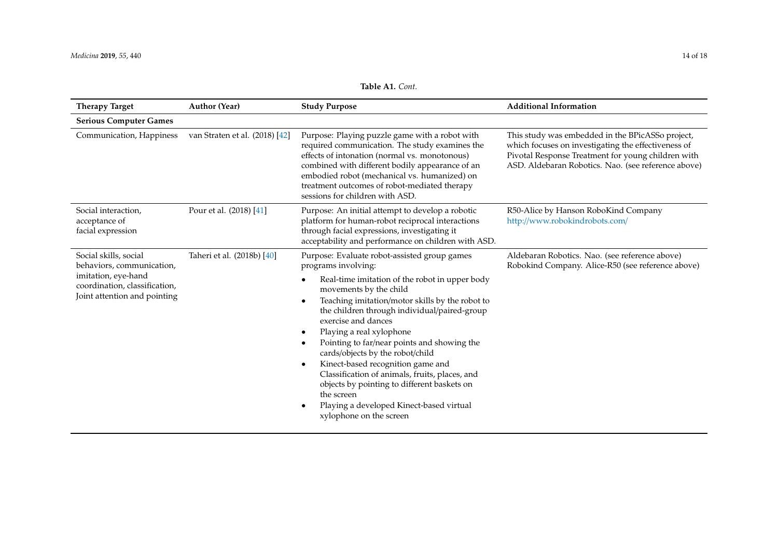| <b>Table A1.</b> Cont.        |                                |                                                                                                                                                                                                                                                                                                                                         |                                                                                                                                                                                                                      |
|-------------------------------|--------------------------------|-----------------------------------------------------------------------------------------------------------------------------------------------------------------------------------------------------------------------------------------------------------------------------------------------------------------------------------------|----------------------------------------------------------------------------------------------------------------------------------------------------------------------------------------------------------------------|
| <b>Therapy Target</b>         | Author (Year)                  | <b>Study Purpose</b>                                                                                                                                                                                                                                                                                                                    | <b>Additional Information</b>                                                                                                                                                                                        |
| <b>Serious Computer Games</b> |                                |                                                                                                                                                                                                                                                                                                                                         |                                                                                                                                                                                                                      |
| Communication, Happiness      | van Straten et al. (2018) [42] | Purpose: Playing puzzle game with a robot with<br>required communication. The study examines the<br>effects of intonation (normal vs. monotonous)<br>combined with different bodily appearance of an<br>embodied robot (mechanical vs. humanized) on<br>treatment outcomes of robot-mediated therapy<br>sessions for children with ASD. | This study was embedded in the BPicASSo project,<br>which focuses on investigating the effectiveness of<br>Pivotal Response Treatment for young children with<br>ASD. Aldebaran Robotics. Nao. (see reference above) |
| Social interaction,           | Pour et al. (2018) [41]        | Purpose: An initial attempt to develop a robotic                                                                                                                                                                                                                                                                                        | R50-Alice by Hanson RoboKind Company                                                                                                                                                                                 |

| Communication, Happiness                                                             | van Straten et al. (2018) [42] | Purpose: Playing puzzle game with a robot with<br>required communication. The study examines the<br>effects of intonation (normal vs. monotonous)<br>combined with different bodily appearance of an<br>embodied robot (mechanical vs. humanized) on<br>treatment outcomes of robot-mediated therapy<br>sessions for children with ASD.                                                                                                                                                                                                                                                               | This study was embedded in the BPicASSo project,<br>which focuses on investigating the effectiveness of<br>Pivotal Response Treatment for young children with<br>ASD. Aldebaran Robotics. Nao. (see reference above) |
|--------------------------------------------------------------------------------------|--------------------------------|-------------------------------------------------------------------------------------------------------------------------------------------------------------------------------------------------------------------------------------------------------------------------------------------------------------------------------------------------------------------------------------------------------------------------------------------------------------------------------------------------------------------------------------------------------------------------------------------------------|----------------------------------------------------------------------------------------------------------------------------------------------------------------------------------------------------------------------|
| Social interaction,<br>acceptance of<br>facial expression                            | Pour et al. (2018) [41]        | Purpose: An initial attempt to develop a robotic<br>platform for human-robot reciprocal interactions<br>through facial expressions, investigating it<br>acceptability and performance on children with ASD.                                                                                                                                                                                                                                                                                                                                                                                           | R50-Alice by Hanson RoboKind Company<br>http://www.robokindrobots.com/                                                                                                                                               |
| Social skills, social<br>behaviors, communication,                                   | Taheri et al. (2018b) [40]     | Purpose: Evaluate robot-assisted group games<br>programs involving:                                                                                                                                                                                                                                                                                                                                                                                                                                                                                                                                   | Aldebaran Robotics. Nao. (see reference above)<br>Robokind Company. Alice-R50 (see reference above)                                                                                                                  |
| imitation, eye-hand<br>coordination, classification,<br>Joint attention and pointing |                                | Real-time imitation of the robot in upper body<br>movements by the child<br>Teaching imitation/motor skills by the robot to<br>٠<br>the children through individual/paired-group<br>exercise and dances<br>Playing a real xylophone<br>$\bullet$<br>Pointing to far/near points and showing the<br>$\bullet$<br>cards/objects by the robot/child<br>Kinect-based recognition game and<br>$\bullet$<br>Classification of animals, fruits, places, and<br>objects by pointing to different baskets on<br>the screen<br>Playing a developed Kinect-based virtual<br>$\bullet$<br>xylophone on the screen |                                                                                                                                                                                                                      |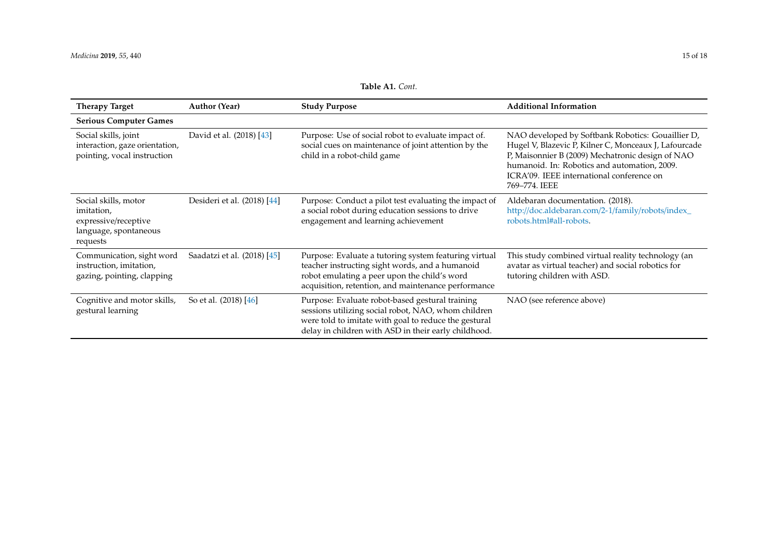| <b>Therapy Target</b>                                                                           | <b>Author (Year)</b>        | <b>Study Purpose</b>                                                                                                                                                                                                    | <b>Additional Information</b>                                                                                                                                                                                                                                                |
|-------------------------------------------------------------------------------------------------|-----------------------------|-------------------------------------------------------------------------------------------------------------------------------------------------------------------------------------------------------------------------|------------------------------------------------------------------------------------------------------------------------------------------------------------------------------------------------------------------------------------------------------------------------------|
| <b>Serious Computer Games</b>                                                                   |                             |                                                                                                                                                                                                                         |                                                                                                                                                                                                                                                                              |
| Social skills, joint<br>interaction, gaze orientation,<br>pointing, vocal instruction           | David et al. (2018) [43]    | Purpose: Use of social robot to evaluate impact of.<br>social cues on maintenance of joint attention by the<br>child in a robot-child game                                                                              | NAO developed by Softbank Robotics: Gouaillier D,<br>Hugel V, Blazevic P, Kilner C, Monceaux J, Lafourcade<br>P, Maisonnier B (2009) Mechatronic design of NAO<br>humanoid. In: Robotics and automation, 2009.<br>ICRA'09. IEEE international conference on<br>769-774. IEEE |
| Social skills, motor<br>imitation,<br>expressive/receptive<br>language, spontaneous<br>requests | Desideri et al. (2018) [44] | Purpose: Conduct a pilot test evaluating the impact of<br>a social robot during education sessions to drive<br>engagement and learning achievement                                                                      | Aldebaran documentation. (2018).<br>http://doc.aldebaran.com/2-1/family/robots/index_<br>robots.html#all-robots.                                                                                                                                                             |
| Communication, sight word<br>instruction, imitation,<br>gazing, pointing, clapping              | Saadatzi et al. (2018) [45] | Purpose: Evaluate a tutoring system featuring virtual<br>teacher instructing sight words, and a humanoid<br>robot emulating a peer upon the child's word<br>acquisition, retention, and maintenance performance         | This study combined virtual reality technology (an<br>avatar as virtual teacher) and social robotics for<br>tutoring children with ASD.                                                                                                                                      |
| Cognitive and motor skills,<br>gestural learning                                                | So et al. (2018) [46]       | Purpose: Evaluate robot-based gestural training<br>sessions utilizing social robot, NAO, whom children<br>were told to imitate with goal to reduce the gestural<br>delay in children with ASD in their early childhood. | NAO (see reference above)                                                                                                                                                                                                                                                    |

# **Table A1.** *Cont.*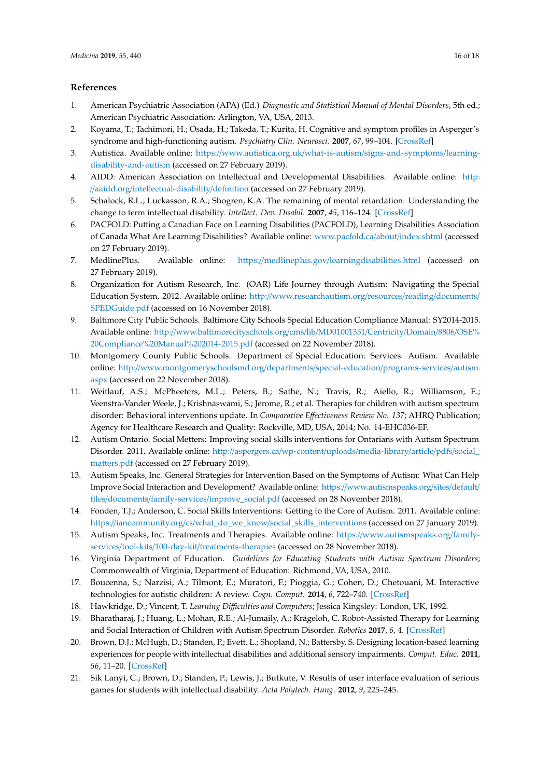# **References**

- <span id="page-15-0"></span>1. American Psychiatric Association (APA) (Ed.) *Diagnostic and Statistical Manual of Mental Disorders*, 5th ed.; American Psychiatric Association: Arlington, VA, USA, 2013.
- <span id="page-15-1"></span>2. Koyama, T.; Tachimori, H.; Osada, H.; Takeda, T.; Kurita, H. Cognitive and symptom profiles in Asperger's syndrome and high-functioning autism. *Psychiatry Clin. Neurosci.* **2007**, *67*, 99–104. [\[CrossRef\]](http://dx.doi.org/10.1111/j.1440-1819.2007.01617.x)
- <span id="page-15-2"></span>3. Autistica. Available online: https://[www.autistica.org.uk](https://www.autistica.org.uk/what-is-autism/signs-and-symptoms/learning-disability-and-autism)/what-is-autism/signs-and-symptoms/learning[disability-and-autism](https://www.autistica.org.uk/what-is-autism/signs-and-symptoms/learning-disability-and-autism) (accessed on 27 February 2019).
- <span id="page-15-3"></span>4. AIDD: American Association on Intellectual and Developmental Disabilities. Available online: [http:](http://aaidd.org/intellectual-disability/definition) //aaidd.org/[intellectual-disability](http://aaidd.org/intellectual-disability/definition)/definition (accessed on 27 February 2019).
- 5. Schalock, R.L.; Luckasson, R.A.; Shogren, K.A. The remaining of mental retardation: Understanding the change to term intellectual disability. *Intellect. Dev. Disabil.* **2007**, *45*, 116–124. [\[CrossRef\]](http://dx.doi.org/10.1352/1934-9556(2007)45[116:TROMRU]2.0.CO;2)
- 6. PACFOLD: Putting a Canadian Face on Learning Disabilities (PACFOLD), Learning Disabilities Association of Canada What Are Learning Disabilities? Available online: [www.pacfold.ca](www.pacfold.ca/about/index.shtml)/about/index.shtml (accessed on 27 February 2019).
- <span id="page-15-4"></span>7. MedlinePlus. Available online: https://medlineplus.gov/[learningdisabilities.html](https://medlineplus.gov/learningdisabilities.html) (accessed on 27 February 2019).
- <span id="page-15-5"></span>8. Organization for Autism Research, Inc. (OAR) Life Journey through Autism: Navigating the Special Education System. 2012. Available online: http://[www.researchautism.org](http://www.researchautism.org/resources/reading/documents/SPEDGuide.pdf)/resources/reading/documents/ [SPEDGuide.pdf](http://www.researchautism.org/resources/reading/documents/SPEDGuide.pdf) (accessed on 16 November 2018).
- 9. Baltimore City Public Schools. Baltimore City Schools Special Education Compliance Manual: SY2014-2015. Available online: http://[www.baltimorecityschools.org](http://www.baltimorecityschools.org/cms/lib/MD01001351/Centricity/Domain/8806/OSE%20Compliance%20Manual%202014-2015.pdf)/cms/lib/MD01001351/Centricity/Domain/8806/OSE% [20Compliance%20Manual%202014-2015.pdf](http://www.baltimorecityschools.org/cms/lib/MD01001351/Centricity/Domain/8806/OSE%20Compliance%20Manual%202014-2015.pdf) (accessed on 22 November 2018).
- 10. Montgomery County Public Schools. Department of Special Education: Services: Autism. Available online: http://[www.montgomeryschoolsmd.org](http://www.montgomeryschoolsmd.org/departments/special-education/programs-services/autism.aspx)/departments/special-education/programs-services/autism. [aspx](http://www.montgomeryschoolsmd.org/departments/special-education/programs-services/autism.aspx) (accessed on 22 November 2018).
- 11. Weitlauf, A.S.; McPheeters, M.L.; Peters, B.; Sathe, N.; Travis, R.; Aiello, R.; Williamson, E.; Veenstra-Vander Weele, J.; Krishnaswami, S.; Jerome, R.; et al. Therapies for children with autism spectrum disorder: Behavioral interventions update. In *Comparative E*ff*ectiveness Review No. 137*; AHRQ Publication; Agency for Healthcare Research and Quality: Rockville, MD, USA, 2014; No. 14-EHC036-EF.
- <span id="page-15-15"></span>12. Autism Ontario. Social Metters: Improving social skills interventions for Ontarians with Autism Spectrum Disorder. 2011. Available online: http://aspergers.ca/wp-content/uploads/[media-library](http://aspergers.ca/wp-content/uploads/media-library/article/pdfs/social_matters.pdf)/article/pdfs/social\_ [matters.pdf](http://aspergers.ca/wp-content/uploads/media-library/article/pdfs/social_matters.pdf) (accessed on 27 February 2019).
- <span id="page-15-6"></span>13. Autism Speaks, Inc. General Strategies for Intervention Based on the Symptoms of Autism: What Can Help Improve Social Interaction and Development? Available online: https://[www.autismspeaks.org](https://www.autismspeaks.org/sites/default/files/documents/family-services/improve_social.pdf)/sites/default/ files/documents/family-services/[improve\\_social.pdf](https://www.autismspeaks.org/sites/default/files/documents/family-services/improve_social.pdf) (accessed on 28 November 2018).
- <span id="page-15-7"></span>14. Fonden, T.J.; Anderson, C. Social Skills Interventions: Getting to the Core of Autism. 2011. Available online: https://iancommunity.org/cs/what\_do\_we\_know/[social\\_skills\\_interventions](https://iancommunity.org/cs/what_do_we_know/social_skills_interventions) (accessed on 27 January 2019).
- <span id="page-15-9"></span>15. Autism Speaks, Inc. Treatments and Therapies. Available online: https://[www.autismspeaks.org](https://www.autismspeaks.org/family-services/tool-kits/100-day-kit/treatments-therapies)/familyservices/tool-kits/100-day-kit/[treatments-therapies](https://www.autismspeaks.org/family-services/tool-kits/100-day-kit/treatments-therapies) (accessed on 28 November 2018).
- <span id="page-15-10"></span>16. Virginia Department of Education. *Guidelines for Educating Students with Autism Spectrum Disorders*; Commonwealth of Virginia, Department of Education: Richmond, VA, USA, 2010.
- <span id="page-15-8"></span>17. Boucenna, S.; Narzisi, A.; Tilmont, E.; Muratori, F.; Pioggia, G.; Cohen, D.; Chetouani, M. Interactive technologies for autistic children: A review. *Cogn. Comput.* **2014**, *6*, 722–740. [\[CrossRef\]](http://dx.doi.org/10.1007/s12559-014-9276-x)
- <span id="page-15-11"></span>18. Hawkridge, D.; Vincent, T. *Learning Di*ffi*culties and Computers*; Jessica Kingsley: London, UK, 1992.
- <span id="page-15-12"></span>19. Bharatharaj, J.; Huang, L.; Mohan, R.E.; Al-Jumaily, A.; Krägeloh, C. Robot-Assisted Therapy for Learning and Social Interaction of Children with Autism Spectrum Disorder. *Robotics* **2017**, *6*, 4. [\[CrossRef\]](http://dx.doi.org/10.3390/robotics6010004)
- <span id="page-15-13"></span>20. Brown, D.J.; McHugh, D.; Standen, P.; Evett, L.; Shopland, N.; Battersby, S. Designing location-based learning experiences for people with intellectual disabilities and additional sensory impairments. *Comput. Educ.* **2011**, *56*, 11–20. [\[CrossRef\]](http://dx.doi.org/10.1016/j.compedu.2010.04.014)
- <span id="page-15-14"></span>21. Sik Lanyi, C.; Brown, D.; Standen, P.; Lewis, J.; Butkute, V. Results of user interface evaluation of serious games for students with intellectual disability. *Acta Polytech. Hung.* **2012**, *9*, 225–245.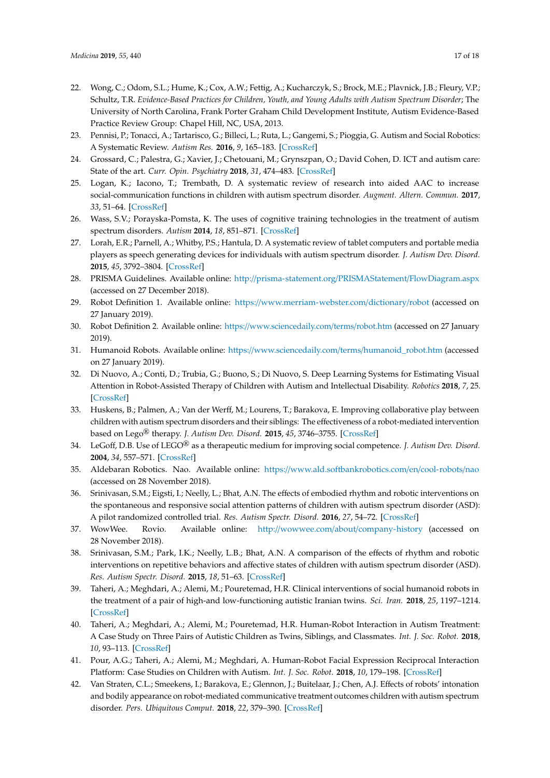- <span id="page-16-0"></span>22. Wong, C.; Odom, S.L.; Hume, K.; Cox, A.W.; Fettig, A.; Kucharczyk, S.; Brock, M.E.; Plavnick, J.B.; Fleury, V.P.; Schultz, T.R. *Evidence-Based Practices for Children, Youth, and Young Adults with Autism Spectrum Disorder*; The University of North Carolina, Frank Porter Graham Child Development Institute, Autism Evidence-Based Practice Review Group: Chapel Hill, NC, USA, 2013.
- <span id="page-16-1"></span>23. Pennisi, P.; Tonacci, A.; Tartarisco, G.; Billeci, L.; Ruta, L.; Gangemi, S.; Pioggia, G. Autism and Social Robotics: A Systematic Review. *Autism Res.* **2016**, *9*, 165–183. [\[CrossRef\]](http://dx.doi.org/10.1002/aur.1527)
- <span id="page-16-18"></span>24. Grossard, C.; Palestra, G.; Xavier, J.; Chetouani, M.; Grynszpan, O.; David Cohen, D. ICT and autism care: State of the art. *Curr. Opin. Psychiatry* **2018**, *31*, 474–483. [\[CrossRef\]](http://dx.doi.org/10.1097/YCO.0000000000000455)
- <span id="page-16-19"></span>25. Logan, K.; Iacono, T.; Trembath, D. A systematic review of research into aided AAC to increase social-communication functions in children with autism spectrum disorder. *Augment. Altern. Commun.* **2017**, *33*, 51–64. [\[CrossRef\]](http://dx.doi.org/10.1080/07434618.2016.1267795)
- 26. Wass, S.V.; Porayska-Pomsta, K. The uses of cognitive training technologies in the treatment of autism spectrum disorders. *Autism* **2014**, *18*, 851–871. [\[CrossRef\]](http://dx.doi.org/10.1177/1362361313499827)
- <span id="page-16-20"></span><span id="page-16-2"></span>27. Lorah, E.R.; Parnell, A.; Whitby, P.S.; Hantula, D. A systematic review of tablet computers and portable media players as speech generating devices for individuals with autism spectrum disorder. *J. Autism Dev. Disord.* **2015**, *45*, 3792–3804. [\[CrossRef\]](http://dx.doi.org/10.1007/s10803-014-2314-4)
- <span id="page-16-3"></span>28. PRISMA Guidelines. Available online: http://[prisma-statement.org](http://prisma-statement.org/PRISMAStatement/FlowDiagram.aspx)/PRISMAStatement/FlowDiagram.aspx (accessed on 27 December 2018).
- <span id="page-16-4"></span>29. Robot Definition 1. Available online: https://[www.merriam-webster.com](https://www.merriam-webster.com/dictionary/robot)/dictionary/robot (accessed on 27 January 2019).
- <span id="page-16-5"></span>30. Robot Definition 2. Available online: https://[www.sciencedaily.com](https://www.sciencedaily.com/terms/robot.htm)/terms/robot.htm (accessed on 27 January 2019).
- <span id="page-16-21"></span><span id="page-16-6"></span>31. Humanoid Robots. Available online: https://[www.sciencedaily.com](https://www.sciencedaily.com/terms/humanoid_robot.htm)/terms/humanoid\_robot.htm (accessed on 27 January 2019).
- <span id="page-16-24"></span><span id="page-16-7"></span>32. Di Nuovo, A.; Conti, D.; Trubia, G.; Buono, S.; Di Nuovo, S. Deep Learning Systems for Estimating Visual Attention in Robot-Assisted Therapy of Children with Autism and Intellectual Disability. *Robotics* **2018**, *7*, 25. [\[CrossRef\]](http://dx.doi.org/10.3390/robotics7020025)
- <span id="page-16-23"></span><span id="page-16-8"></span>33. Huskens, B.; Palmen, A.; Van der Werff, M.; Lourens, T.; Barakova, E. Improving collaborative play between children with autism spectrum disorders and their siblings: The effectiveness of a robot-mediated intervention based on Lego® therapy. *J. Autism Dev. Disord.* **2015**, *45*, 3746–3755. [\[CrossRef\]](http://dx.doi.org/10.1007/s10803-014-2326-0)
- <span id="page-16-22"></span><span id="page-16-9"></span>34. LeGoff, D.B. Use of LEGO® as a therapeutic medium for improving social competence. *J. Autism Dev. Disord.* **2004**, *34*, 557–571. [\[CrossRef\]](http://dx.doi.org/10.1007/s10803-004-2550-0)
- <span id="page-16-10"></span>35. Aldebaran Robotics. Nao. Available online: https://[www.ald.softbankrobotics.com](https://www.ald.softbankrobotics.com/en/cool-robots/nao)/en/cool-robots/nao (accessed on 28 November 2018).
- <span id="page-16-11"></span>36. Srinivasan, S.M.; Eigsti, I.; Neelly, L.; Bhat, A.N. The effects of embodied rhythm and robotic interventions on the spontaneous and responsive social attention patterns of children with autism spectrum disorder (ASD): A pilot randomized controlled trial. *Res. Autism Spectr. Disord.* **2016**, *27*, 54–72. [\[CrossRef\]](http://dx.doi.org/10.1016/j.rasd.2016.01.004)
- <span id="page-16-12"></span>37. WowWee. Rovio. Available online: http://wowwee.com/about/[company-history](http://wowwee.com/about/company-history) (accessed on 28 November 2018).
- <span id="page-16-13"></span>38. Srinivasan, S.M.; Park, I.K.; Neelly, L.B.; Bhat, A.N. A comparison of the effects of rhythm and robotic interventions on repetitive behaviors and affective states of children with autism spectrum disorder (ASD). *Res. Autism Spectr. Disord.* **2015**, *18*, 51–63. [\[CrossRef\]](http://dx.doi.org/10.1016/j.rasd.2015.07.004)
- <span id="page-16-14"></span>39. Taheri, A.; Meghdari, A.; Alemi, M.; Pouretemad, H.R. Clinical interventions of social humanoid robots in the treatment of a pair of high-and low-functioning autistic Iranian twins. *Sci. Iran.* **2018**, *25*, 1197–1214. [\[CrossRef\]](http://dx.doi.org/10.24200/sci.2017.4337)
- <span id="page-16-15"></span>40. Taheri, A.; Meghdari, A.; Alemi, M.; Pouretemad, H.R. Human-Robot Interaction in Autism Treatment: A Case Study on Three Pairs of Autistic Children as Twins, Siblings, and Classmates. *Int. J. Soc. Robot.* **2018**, *10*, 93–113. [\[CrossRef\]](http://dx.doi.org/10.1007/s12369-017-0433-8)
- <span id="page-16-16"></span>41. Pour, A.G.; Taheri, A.; Alemi, M.; Meghdari, A. Human-Robot Facial Expression Reciprocal Interaction Platform: Case Studies on Children with Autism. *Int. J. Soc. Robot.* **2018**, *10*, 179–198. [\[CrossRef\]](http://dx.doi.org/10.1007/s12369-017-0461-4)
- <span id="page-16-17"></span>42. Van Straten, C.L.; Smeekens, I.; Barakova, E.; Glennon, J.; Buitelaar, J.; Chen, A.J. Effects of robots' intonation and bodily appearance on robot-mediated communicative treatment outcomes children with autism spectrum disorder. *Pers. Ubiquitous Comput.* **2018**, *22*, 379–390. [\[CrossRef\]](http://dx.doi.org/10.1007/s00779-017-1060-y)